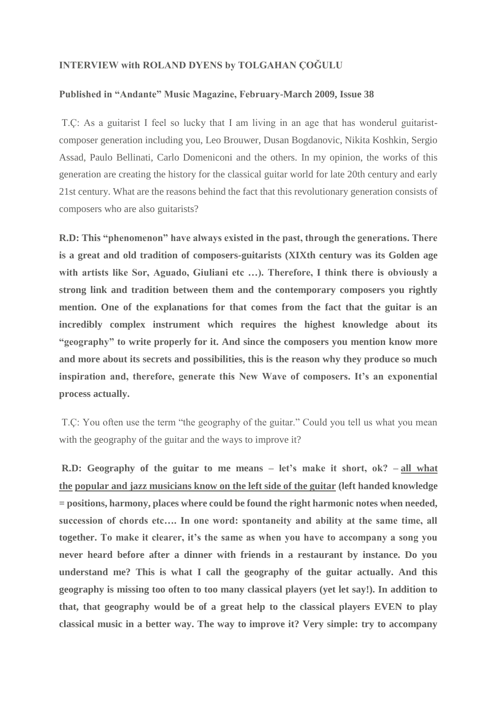## **INTERVIEW with ROLAND DYENS by TOLGAHAN ÇOĞULU**

## **Published in "Andante" Music Magazine, February-March 2009, Issue 38**

T.Ç: As a guitarist I feel so lucky that I am living in an age that has wonderul guitaristcomposer generation including you, Leo Brouwer, Dusan Bogdanovic, Nikita Koshkin, Sergio Assad, Paulo Bellinati, Carlo Domeniconi and the others. In my opinion, the works of this generation are creating the history for the classical guitar world for late 20th century and early 21st century. What are the reasons behind the fact that this revolutionary generation consists of composers who are also guitarists?

**R.D: This "phenomenon" have always existed in the past, through the generations. There is a great and old tradition of composers-guitarists (XIXth century was its Golden age**  with artists like Sor, Aguado, Giuliani etc ...). Therefore, I think there is obviously a **strong link and tradition between them and the contemporary composers you rightly mention. One of the explanations for that comes from the fact that the guitar is an incredibly complex instrument which requires the highest knowledge about its "geography" to write properly for it. And since the composers you mention know more and more about its secrets and possibilities, this is the reason why they produce so much inspiration and, therefore, generate this New Wave of composers. It's an exponential process actually.**

T.Ç: You often use the term "the geography of the guitar." Could you tell us what you mean with the geography of the guitar and the ways to improve it?

**R.D: Geography of the guitar to me means – let's make it short, ok? – all what the popular and jazz musicians know on the left side of the guitar (left handed knowledge = positions, harmony, places where could be found the right harmonic notes when needed, succession of chords etc…. In one word: spontaneity and ability at the same time, all together. To make it clearer, it's the same as when you have to accompany a song you never heard before after a dinner with friends in a restaurant by instance. Do you understand me? This is what I call the geography of the guitar actually. And this geography is missing too often to too many classical players (yet let say!). In addition to that, that geography would be of a great help to the classical players EVEN to play classical music in a better way. The way to improve it? Very simple: try to accompany**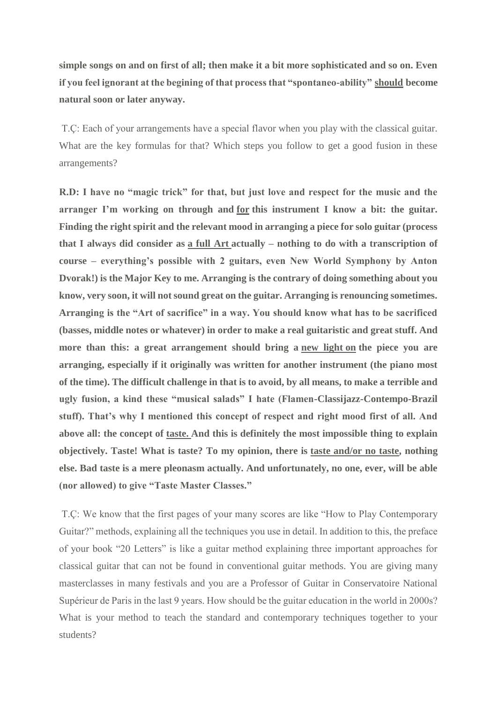**simple songs on and on first of all; then make it a bit more sophisticated and so on. Even if you feel ignorant at the begining of that process that "spontaneo-ability" should become natural soon or later anyway.**

T.Ç: Each of your arrangements have a special flavor when you play with the classical guitar. What are the key formulas for that? Which steps you follow to get a good fusion in these arrangements?

**R.D: I have no "magic trick" for that, but just love and respect for the music and the arranger I'm working on through and for this instrument I know a bit: the guitar. Finding the right spirit and the relevant mood in arranging a piece for solo guitar (process that I always did consider as a full Art actually – nothing to do with a transcription of course – everything's possible with 2 guitars, even New World Symphony by Anton Dvorak!) is the Major Key to me. Arranging is the contrary of doing something about you know, very soon, it will not sound great on the guitar. Arranging is renouncing sometimes. Arranging is the "Art of sacrifice" in a way. You should know what has to be sacrificed (basses, middle notes or whatever) in order to make a real guitaristic and great stuff. And more than this: a great arrangement should bring a new light on the piece you are arranging, especially if it originally was written for another instrument (the piano most of the time). The difficult challenge in that is to avoid, by all means, to make a terrible and ugly fusion, a kind these "musical salads" I hate (Flamen-Classijazz-Contempo-Brazil stuff). That's why I mentioned this concept of respect and right mood first of all. And above all: the concept of taste. And this is definitely the most impossible thing to explain objectively. Taste! What is taste? To my opinion, there is taste and/or no taste, nothing else. Bad taste is a mere pleonasm actually. And unfortunately, no one, ever, will be able (nor allowed) to give "Taste Master Classes."**

T.Ç: We know that the first pages of your many scores are like "How to Play Contemporary Guitar?" methods, explaining all the techniques you use in detail. In addition to this, the preface of your book "20 Letters" is like a guitar method explaining three important approaches for classical guitar that can not be found in conventional guitar methods. You are giving many masterclasses in many festivals and you are a Professor of Guitar in Conservatoire National Supérieur de Paris in the last 9 years. How should be the guitar education in the world in 2000s? What is your method to teach the standard and contemporary techniques together to your students?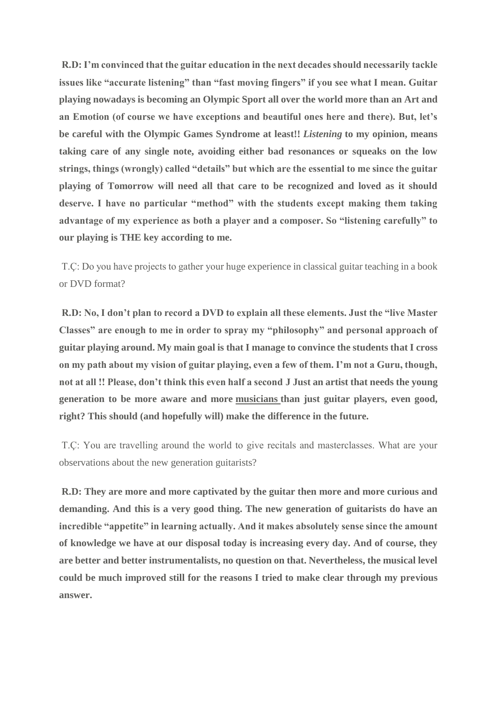**R.D: I'm convinced that the guitar education in the next decades should necessarily tackle issues like "accurate listening" than "fast moving fingers" if you see what I mean. Guitar playing nowadays is becoming an Olympic Sport all over the world more than an Art and an Emotion (of course we have exceptions and beautiful ones here and there). But, let's be careful with the Olympic Games Syndrome at least!!** *Listening* **to my opinion, means taking care of any single note, avoiding either bad resonances or squeaks on the low strings, things (wrongly) called "details" but which are the essential to me since the guitar playing of Tomorrow will need all that care to be recognized and loved as it should**  deserve. I have no particular "method" with the students except making them taking **advantage of my experience as both a player and a composer. So "listening carefully" to our playing is THE key according to me.**

T.Ç: Do you have projects to gather your huge experience in classical guitar teaching in a book or DVD format?

**R.D: No, I don't plan to record a DVD to explain all these elements. Just the "live Master Classes" are enough to me in order to spray my "philosophy" and personal approach of guitar playing around. My main goal is that I manage to convince the students that I cross on my path about my vision of guitar playing, even a few of them. I'm not a Guru, though, not at all !! Please, don't think this even half a second J Just an artist that needs the young generation to be more aware and more musicians than just guitar players, even good, right? This should (and hopefully will) make the difference in the future.**

T.Ç: You are travelling around the world to give recitals and masterclasses. What are your observations about the new generation guitarists?

**R.D: They are more and more captivated by the guitar then more and more curious and demanding. And this is a very good thing. The new generation of guitarists do have an incredible "appetite" in learning actually. And it makes absolutely sense since the amount of knowledge we have at our disposal today is increasing every day. And of course, they are better and better instrumentalists, no question on that. Nevertheless, the musical level could be much improved still for the reasons I tried to make clear through my previous answer.**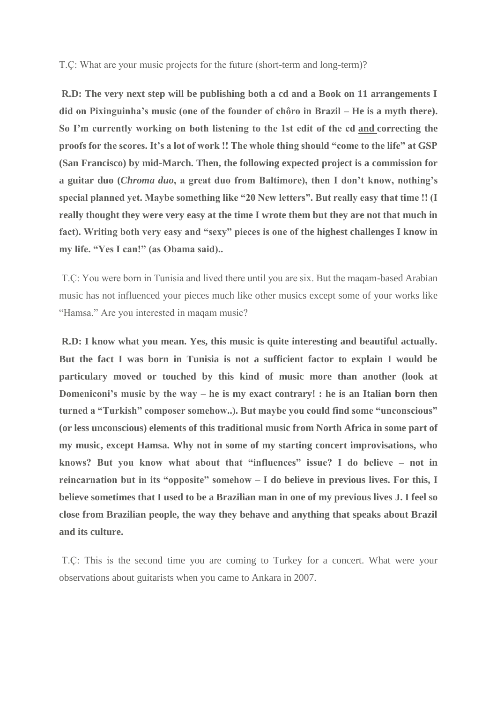T.Ç: What are your music projects for the future (short-term and long-term)?

**R.D: The very next step will be publishing both a cd and a Book on 11 arrangements I did on Pixinguinha's music (one of the founder of chôro in Brazil – He is a myth there). So I'm currently working on both listening to the 1st edit of the cd and correcting the proofs for the scores. It's a lot of work !! The whole thing should "come to the life" at GSP (San Francisco) by mid-March. Then, the following expected project is a commission for a guitar duo (***Chroma duo***, a great duo from Baltimore), then I don't know, nothing's special planned yet. Maybe something like "20 New letters". But really easy that time !! (I really thought they were very easy at the time I wrote them but they are not that much in fact). Writing both very easy and "sexy" pieces is one of the highest challenges I know in my life. "Yes I can!" (as Obama said)..**

T.Ç: You were born in Tunisia and lived there until you are six. But the maqam-based Arabian music has not influenced your pieces much like other musics except some of your works like "Hamsa." Are you interested in maqam music?

**R.D: I know what you mean. Yes, this music is quite interesting and beautiful actually. But the fact I was born in Tunisia is not a sufficient factor to explain I would be particulary moved or touched by this kind of music more than another (look at Domeniconi's music by the way – he is my exact contrary! : he is an Italian born then turned a "Turkish" composer somehow..). But maybe you could find some "unconscious" (or less unconscious) elements of this traditional music from North Africa in some part of my music, except Hamsa. Why not in some of my starting concert improvisations, who knows? But you know what about that "influences" issue? I do believe – not in reincarnation but in its "opposite" somehow – I do believe in previous lives. For this, I believe sometimes that I used to be a Brazilian man in one of my previous lives J. I feel so close from Brazilian people, the way they behave and anything that speaks about Brazil and its culture.**

T.Ç: This is the second time you are coming to Turkey for a concert. What were your observations about guitarists when you came to Ankara in 2007.